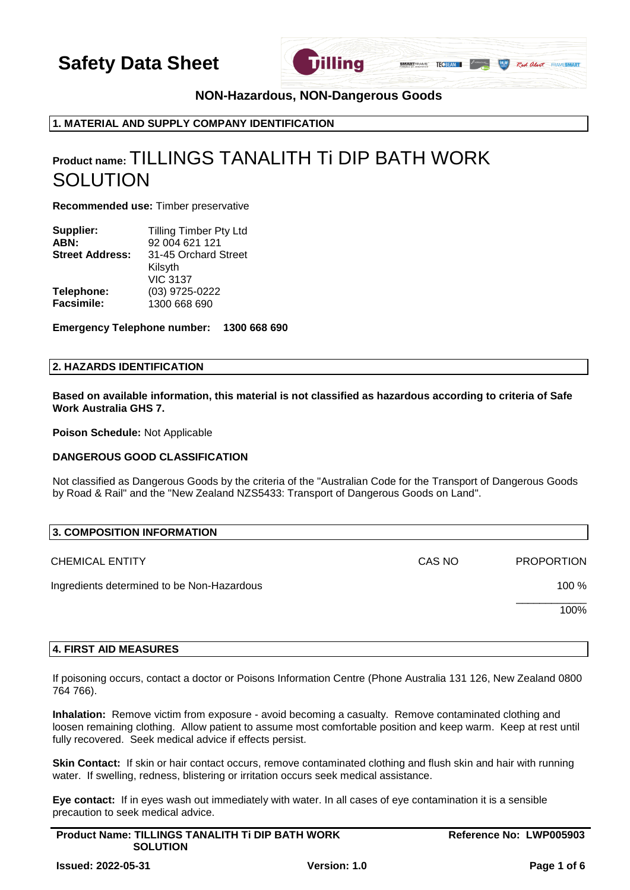

**NON-Hazardous, NON-Dangerous Goods**

## **1. MATERIAL AND SUPPLY COMPANY IDENTIFICATION**

# **Product name:** TILLINGS TANALITH Ti DIP BATH WORK SOLUTION

**Recommended use:** Timber preservative

| Supplier:              | Tilling Timber Pty Ltd |
|------------------------|------------------------|
| ABN:                   | 92 004 621 121         |
| <b>Street Address:</b> | 31-45 Orchard Street   |
|                        | Kilsyth                |
|                        | <b>VIC 3137</b>        |
| Telephone:             | (03) 9725-0222         |
| Facsimile:             | 1300 668 690           |

**Emergency Telephone number: 1300 668 690**

### **2. HAZARDS IDENTIFICATION**

**Based on available information, this material is not classified as hazardous according to criteria of Safe Work Australia GHS 7.**

**Poison Schedule:** Not Applicable

#### **DANGEROUS GOOD CLASSIFICATION**

Not classified as Dangerous Goods by the criteria of the "Australian Code for the Transport of Dangerous Goods by Road & Rail" and the "New Zealand NZS5433: Transport of Dangerous Goods on Land".

| 3. COMPOSITION INFORMATION                 |        |                   |
|--------------------------------------------|--------|-------------------|
| <b>CHEMICAL ENTITY</b>                     | CAS NO | <b>PROPORTION</b> |
| Ingredients determined to be Non-Hazardous |        | 100 $%$           |
|                                            |        | 100%              |

#### **4. FIRST AID MEASURES**

If poisoning occurs, contact a doctor or Poisons Information Centre (Phone Australia 131 126, New Zealand 0800 764 766).

**Inhalation:** Remove victim from exposure - avoid becoming a casualty. Remove contaminated clothing and loosen remaining clothing. Allow patient to assume most comfortable position and keep warm. Keep at rest until fully recovered. Seek medical advice if effects persist.

**Skin Contact:** If skin or hair contact occurs, remove contaminated clothing and flush skin and hair with running water. If swelling, redness, blistering or irritation occurs seek medical assistance.

**Eye contact:** If in eyes wash out immediately with water. In all cases of eye contamination it is a sensible precaution to seek medical advice.

| <b>Product Name: TILLINGS TANALITH Ti DIP BATH WORK</b> | Reference No: LWP005903 |
|---------------------------------------------------------|-------------------------|
| <b>SOLUTION</b>                                         |                         |
|                                                         |                         |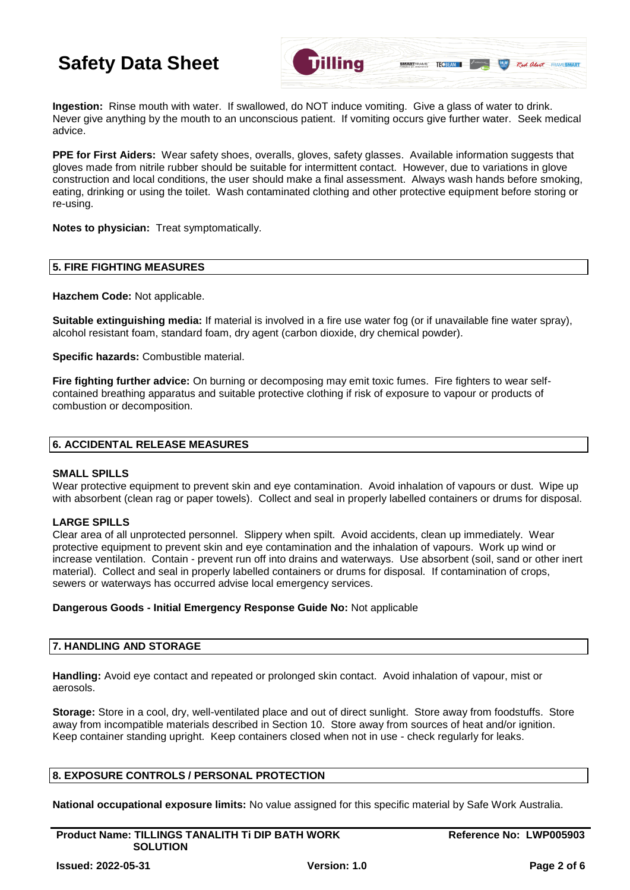

**Ingestion:** Rinse mouth with water. If swallowed, do NOT induce vomiting. Give a glass of water to drink. Never give anything by the mouth to an unconscious patient. If vomiting occurs give further water. Seek medical advice.

**PPE for First Aiders:** Wear safety shoes, overalls, gloves, safety glasses. Available information suggests that gloves made from nitrile rubber should be suitable for intermittent contact. However, due to variations in glove construction and local conditions, the user should make a final assessment. Always wash hands before smoking, eating, drinking or using the toilet. Wash contaminated clothing and other protective equipment before storing or re-using.

**Notes to physician:** Treat symptomatically.

#### **5. FIRE FIGHTING MEASURES**

**Hazchem Code:** Not applicable.

**Suitable extinguishing media:** If material is involved in a fire use water fog (or if unavailable fine water spray), alcohol resistant foam, standard foam, dry agent (carbon dioxide, dry chemical powder).

**Specific hazards:** Combustible material.

**Fire fighting further advice:** On burning or decomposing may emit toxic fumes. Fire fighters to wear selfcontained breathing apparatus and suitable protective clothing if risk of exposure to vapour or products of combustion or decomposition.

### **6. ACCIDENTAL RELEASE MEASURES**

#### **SMALL SPILLS**

Wear protective equipment to prevent skin and eye contamination. Avoid inhalation of vapours or dust. Wipe up with absorbent (clean rag or paper towels). Collect and seal in properly labelled containers or drums for disposal.

## **LARGE SPILLS**

Clear area of all unprotected personnel. Slippery when spilt. Avoid accidents, clean up immediately. Wear protective equipment to prevent skin and eye contamination and the inhalation of vapours. Work up wind or increase ventilation. Contain - prevent run off into drains and waterways. Use absorbent (soil, sand or other inert material). Collect and seal in properly labelled containers or drums for disposal. If contamination of crops, sewers or waterways has occurred advise local emergency services.

#### **Dangerous Goods - Initial Emergency Response Guide No:** Not applicable

## **7. HANDLING AND STORAGE**

**Handling:** Avoid eye contact and repeated or prolonged skin contact. Avoid inhalation of vapour, mist or aerosols.

**Storage:** Store in a cool, dry, well-ventilated place and out of direct sunlight. Store away from foodstuffs. Store away from incompatible materials described in Section 10. Store away from sources of heat and/or ignition. Keep container standing upright. Keep containers closed when not in use - check regularly for leaks.

## **8. EXPOSURE CONTROLS / PERSONAL PROTECTION**

**National occupational exposure limits:** No value assigned for this specific material by Safe Work Australia.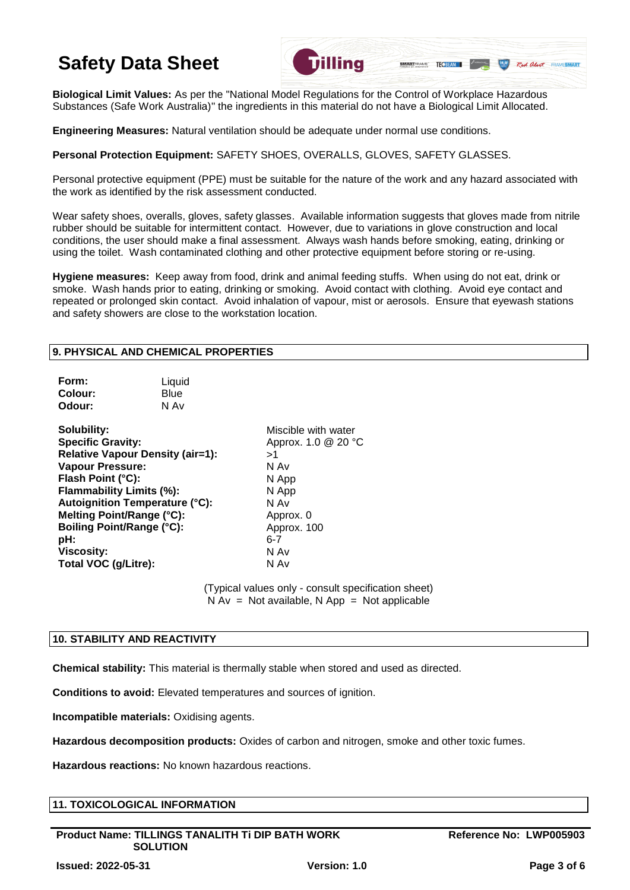

**Biological Limit Values:** As per the "National Model Regulations for the Control of Workplace Hazardous Substances (Safe Work Australia)" the ingredients in this material do not have a Biological Limit Allocated.

**Engineering Measures:** Natural ventilation should be adequate under normal use conditions.

**Personal Protection Equipment:** SAFETY SHOES, OVERALLS, GLOVES, SAFETY GLASSES.

Personal protective equipment (PPE) must be suitable for the nature of the work and any hazard associated with the work as identified by the risk assessment conducted.

Wear safety shoes, overalls, gloves, safety glasses. Available information suggests that gloves made from nitrile rubber should be suitable for intermittent contact. However, due to variations in glove construction and local conditions, the user should make a final assessment. Always wash hands before smoking, eating, drinking or using the toilet. Wash contaminated clothing and other protective equipment before storing or re-using.

**Hygiene measures:** Keep away from food, drink and animal feeding stuffs. When using do not eat, drink or smoke. Wash hands prior to eating, drinking or smoking. Avoid contact with clothing. Avoid eye contact and repeated or prolonged skin contact. Avoid inhalation of vapour, mist or aerosols. Ensure that eyewash stations and safety showers are close to the workstation location.

## **9. PHYSICAL AND CHEMICAL PROPERTIES**

| Form:<br>Colour:<br>Odour:                                                                                                                                                                                                                                                                                                   | Liquid<br>Blue<br>N Av |                                                                                                                                           |
|------------------------------------------------------------------------------------------------------------------------------------------------------------------------------------------------------------------------------------------------------------------------------------------------------------------------------|------------------------|-------------------------------------------------------------------------------------------------------------------------------------------|
| Solubility:<br><b>Specific Gravity:</b><br><b>Relative Vapour Density (air=1):</b><br><b>Vapour Pressure:</b><br>Flash Point (°C):<br>Flammability Limits (%):<br><b>Autoignition Temperature (°C):</b><br>Melting Point/Range (°C):<br><b>Boiling Point/Range (°C):</b><br>pH:<br><b>Viscosity:</b><br>Total VOC (g/Litre): |                        | Miscible with water<br>Approx. 1.0 @ 20 °C<br>>1<br>N Av<br>N App<br>N App<br>N Av<br>Approx. 0<br>Approx. 100<br>$6 - 7$<br>N Av<br>N Av |

(Typical values only - consult specification sheet)  $N Av = Not available, N App = Not applicable$ 

## **10. STABILITY AND REACTIVITY**

**Chemical stability:** This material is thermally stable when stored and used as directed.

**Conditions to avoid:** Elevated temperatures and sources of ignition.

**Incompatible materials:** Oxidising agents.

**Hazardous decomposition products:** Oxides of carbon and nitrogen, smoke and other toxic fumes.

**Hazardous reactions:** No known hazardous reactions.

## **11. TOXICOLOGICAL INFORMATION**

**Product Name: TILLINGS TANALITH Ti DIP BATH WORK SOLUTION**

**Reference No: LWP005903**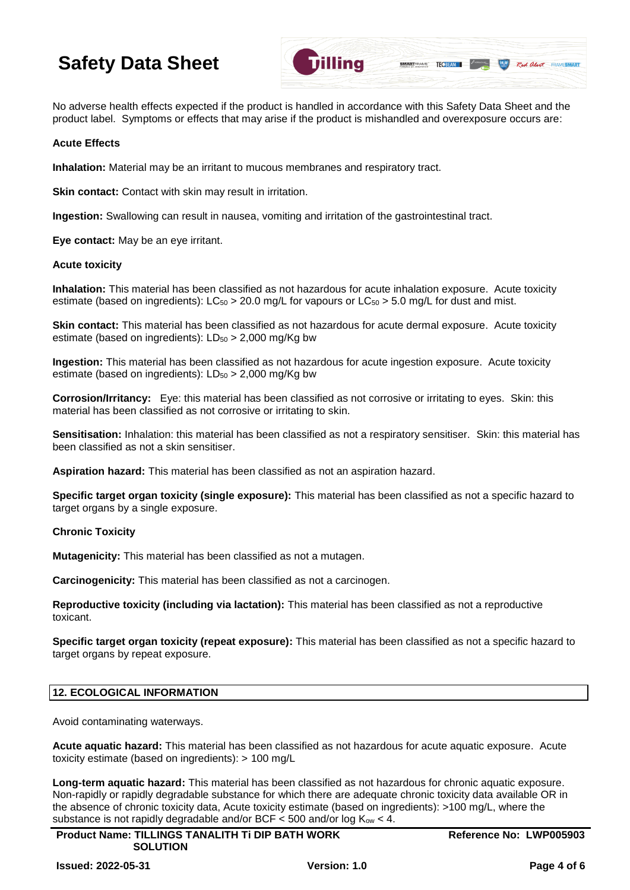

No adverse health effects expected if the product is handled in accordance with this Safety Data Sheet and the product label. Symptoms or effects that may arise if the product is mishandled and overexposure occurs are:

### **Acute Effects**

**Inhalation:** Material may be an irritant to mucous membranes and respiratory tract.

**Skin contact:** Contact with skin may result in irritation.

**Ingestion:** Swallowing can result in nausea, vomiting and irritation of the gastrointestinal tract.

**Eye contact:** May be an eye irritant.

#### **Acute toxicity**

**Inhalation:** This material has been classified as not hazardous for acute inhalation exposure. Acute toxicity estimate (based on ingredients):  $LC_{50} > 20.0$  mg/L for vapours or  $LC_{50} > 5.0$  mg/L for dust and mist.

**Skin contact:** This material has been classified as not hazardous for acute dermal exposure. Acute toxicity estimate (based on ingredients):  $LD_{50} > 2,000$  mg/Kg bw

**Ingestion:** This material has been classified as not hazardous for acute ingestion exposure. Acute toxicity estimate (based on ingredients):  $LD_{50} > 2,000$  mg/Kg bw

**Corrosion/Irritancy:** Eye: this material has been classified as not corrosive or irritating to eyes. Skin: this material has been classified as not corrosive or irritating to skin.

**Sensitisation:** Inhalation: this material has been classified as not a respiratory sensitiser. Skin: this material has been classified as not a skin sensitiser.

**Aspiration hazard:** This material has been classified as not an aspiration hazard.

**Specific target organ toxicity (single exposure):** This material has been classified as not a specific hazard to target organs by a single exposure.

## **Chronic Toxicity**

**Mutagenicity:** This material has been classified as not a mutagen.

**Carcinogenicity:** This material has been classified as not a carcinogen.

**Reproductive toxicity (including via lactation):** This material has been classified as not a reproductive toxicant.

**Specific target organ toxicity (repeat exposure):** This material has been classified as not a specific hazard to target organs by repeat exposure.

## **12. ECOLOGICAL INFORMATION**

Avoid contaminating waterways.

**Acute aquatic hazard:** This material has been classified as not hazardous for acute aquatic exposure. Acute toxicity estimate (based on ingredients): > 100 mg/L

**Long-term aquatic hazard:** This material has been classified as not hazardous for chronic aquatic exposure. Non-rapidly or rapidly degradable substance for which there are adequate chronic toxicity data available OR in the absence of chronic toxicity data, Acute toxicity estimate (based on ingredients): >100 mg/L, where the substance is not rapidly degradable and/or BCF  $<$  500 and/or log K<sub>ow</sub>  $<$  4.

**Product Name: TILLINGS TANALITH Ti DIP BATH WORK SOLUTION**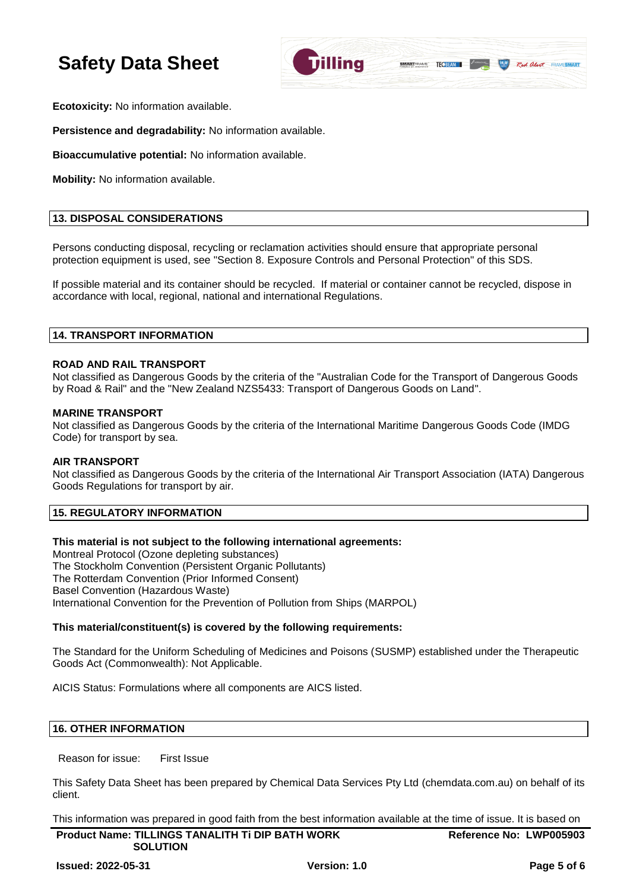

**Ecotoxicity:** No information available.

**Persistence and degradability:** No information available.

**Bioaccumulative potential:** No information available.

**Mobility:** No information available.

## **13. DISPOSAL CONSIDERATIONS**

Persons conducting disposal, recycling or reclamation activities should ensure that appropriate personal protection equipment is used, see "Section 8. Exposure Controls and Personal Protection" of this SDS.

If possible material and its container should be recycled. If material or container cannot be recycled, dispose in accordance with local, regional, national and international Regulations.

### **14. TRANSPORT INFORMATION**

#### **ROAD AND RAIL TRANSPORT**

Not classified as Dangerous Goods by the criteria of the "Australian Code for the Transport of Dangerous Goods by Road & Rail" and the "New Zealand NZS5433: Transport of Dangerous Goods on Land".

#### **MARINE TRANSPORT**

Not classified as Dangerous Goods by the criteria of the International Maritime Dangerous Goods Code (IMDG Code) for transport by sea.

#### **AIR TRANSPORT**

Not classified as Dangerous Goods by the criteria of the International Air Transport Association (IATA) Dangerous Goods Regulations for transport by air.

#### **15. REGULATORY INFORMATION**

#### **This material is not subject to the following international agreements:**

Montreal Protocol (Ozone depleting substances) The Stockholm Convention (Persistent Organic Pollutants) The Rotterdam Convention (Prior Informed Consent) Basel Convention (Hazardous Waste) International Convention for the Prevention of Pollution from Ships (MARPOL)

#### **This material/constituent(s) is covered by the following requirements:**

The Standard for the Uniform Scheduling of Medicines and Poisons (SUSMP) established under the Therapeutic Goods Act (Commonwealth): Not Applicable.

AICIS Status: Formulations where all components are AICS listed.

### **16. OTHER INFORMATION**

Reason for issue: First Issue

This Safety Data Sheet has been prepared by Chemical Data Services Pty Ltd (chemdata.com.au) on behalf of its client.

This information was prepared in good faith from the best information available at the time of issue. It is based on

| <b>Product Name: TILLINGS TANALITH TI DIP BATH WORK</b> | Reference No: LWP005903 |
|---------------------------------------------------------|-------------------------|
| <b>SOLUTION</b>                                         |                         |
|                                                         |                         |